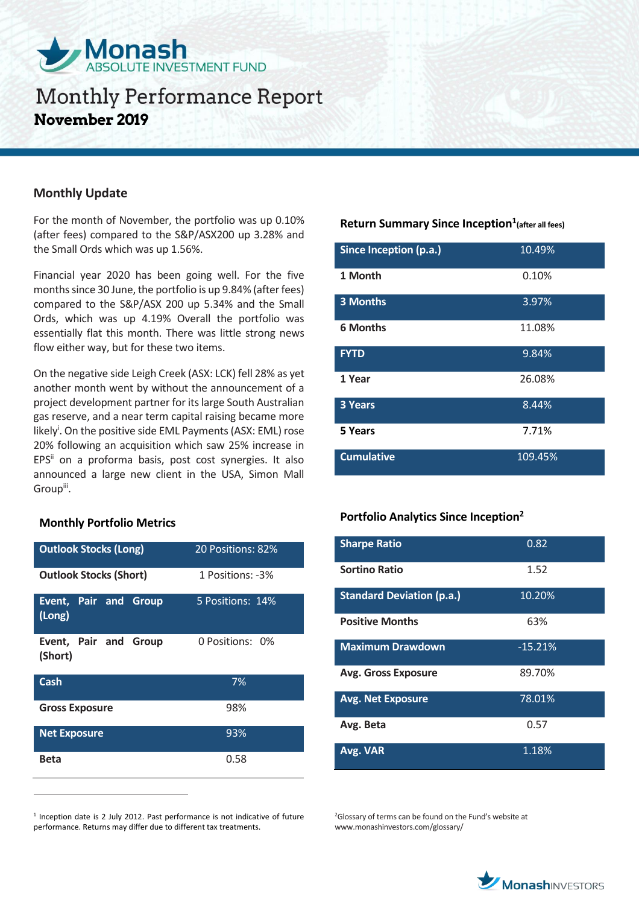

## **Monthly Update**

For the month of November, the portfolio was up 0.10% (after fees) compared to the S&P/ASX200 up 3.28% and the Small Ords which was up 1.56%.

Financial year 2020 has been going well. For the five months since 30 June, the portfolio is up 9.84% (after fees) compared to the S&P/ASX 200 up 5.34% and the Small Ords, which was up 4.19% Overall the portfolio was essentially flat this month. There was little strong news flow either way, but for these two items.

On the negative side Leigh Creek (ASX: LCK) fell 28% as yet another month went by without the announcement of a project development partner for its large South Australian gas reserve, and a near term capital raising became more likely<sup>i</sup>. On the positive side EML Payments (ASX: EML) rose 20% following an acquisition which saw 25% increase in EPS<sup>ii</sup> on a proforma basis, post cost synergies. It also announced a large new client in the USA, Simon Mall Group<sup>iii</sup>.

## **Monthly Portfolio Metrics**

 $\overline{a}$ 

| <b>Outlook Stocks (Long)</b>     | 20 Positions: 82% |  |
|----------------------------------|-------------------|--|
| <b>Outlook Stocks (Short)</b>    | 1 Positions: -3%  |  |
| Event, Pair and Group<br>(Long)  | 5 Positions: 14%  |  |
| Event, Pair and Group<br>(Short) | 0 Positions: 0%   |  |
| Cash                             | 7%                |  |
| <b>Gross Exposure</b>            | 98%               |  |
| <b>Net Exposure</b>              | 93%               |  |
| <b>Beta</b>                      | 0.58              |  |

<sup>1</sup> Inception date is 2 July 2012. Past performance is not indicative of future performance. Returns may differ due to different tax treatments.

## **Return Summary Since Inception<sup>1</sup> (after all fees)**

| Since Inception (p.a.) | 10.49%  |
|------------------------|---------|
| 1 Month                | 0.10%   |
| <b>3 Months</b>        | 3.97%   |
| <b>6 Months</b>        | 11.08%  |
| <b>FYTD</b>            | 9.84%   |
| 1 Year                 | 26.08%  |
| <b>3 Years</b>         | 8.44%   |
| 5 Years                | 7.71%   |
| <b>Cumulative</b>      | 109.45% |

## **Portfolio Analytics Since Inception<sup>2</sup>**

| <b>Sharpe Ratio</b>              | 0.82      |
|----------------------------------|-----------|
| <b>Sortino Ratio</b>             | 1.52      |
| <b>Standard Deviation (p.a.)</b> | 10.20%    |
| <b>Positive Months</b>           | 63%       |
| <b>Maximum Drawdown</b>          | $-15.21%$ |
| <b>Avg. Gross Exposure</b>       | 89.70%    |
| <b>Avg. Net Exposure</b>         | 78.01%    |
| Avg. Beta                        | 0.57      |
| Avg. VAR                         | 1.18%     |

<sup>2</sup>Glossary of terms can be found on the Fund's website at www.monashinvestors.com/glossary/

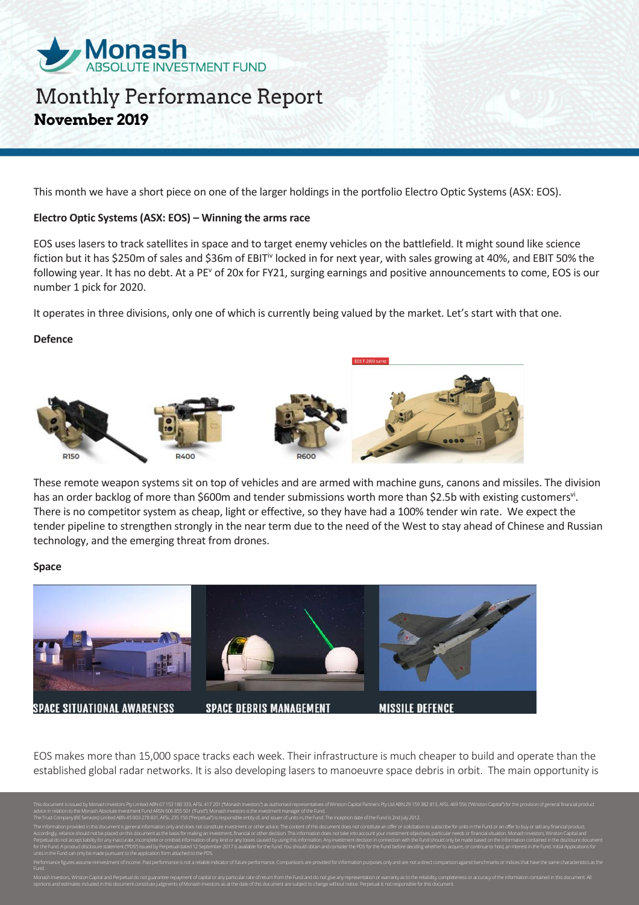

This month we have a short piece on one of the larger holdings in the portfolio Electro Optic Systems (ASX: EOS).

#### **Electro Optic Systems (ASX: EOS) – Winning the arms race**

EOS uses lasers to track satellites in space and to target enemy vehicles on the battlefield. It might sound like science fiction but it has \$250m of sales and \$36m of EBIT<sup>iv</sup> locked in for next year, with sales growing at 40%, and EBIT 50% the following year. It has no debt. At a PE<sup>v</sup> of 20x for FY21, surging earnings and positive announcements to come, EOS is our number 1 pick for 2020.

It operates in three divisions, only one of which is currently being valued by the market. Let's start with that one.

#### **Defence**



These remote weapon systems sit on top of vehicles and are armed with machine guns, canons and missiles. The division has an order backlog of more than \$600m and tender submissions worth more than \$2.5b with existing customers<sup>vi</sup>. There is no competitor system as cheap, light or effective, so they have had a 100% tender win rate. We expect the tender pipeline to strengthen strongly in the near term due to the need of the West to stay ahead of Chinese and Russian technology, and the emerging threat from drones.

#### **Space**



EOS makes more than 15,000 space tracks each week. Their infrastructure is much cheaper to build and operate than the established global radar networks. It is also developing lasers to manoeuvre space debris in orbit. The main opportunity is

tv Ltd ABN 29 159 382 813. AFSL 469 556 ("Winston Capital") for the d advice in relation to the Monash Absolute Investment Fund ARSN 606 855 501 ("Fund"). Monash Investors is the investment manager of the Fund. The Trust Company (RE Services) Limited ABN 45 003 278 831, AFSL 235 150 ("Perpetual") is responsible entity of, and issuer of units in, the Fund. The inception date of the Fund is 2nd July 2012. The information provided in this document is general information only and does not constitute investment or other advice. The content of this document does not constitute an offer or solicitation to subscribe for units in Accordingly, reliance should not be placed on this document as the basis for making an investment, financial or other decision. This information does not take into account your investment objectives, particular needs or fi Perpetual do not accept liability for any inaccurate, incomplete or omitted information of any kind or any losses caused by using this information. Any investment decision in connection with the Fund should only be made ba for the Fund. A product disclosure statement ("PDS") issued by Perpetual dated 12 September 2017 is available for the Fund. You should obtain and consider the PDS for the Fund before deciding whether to acquire, or continu units in the Fund can only be made pursuant to the application form attached to the PDS. Performance figures assume reinvestment of income. Past performance is not a reliable indicator of future performance. Comparisons are provided for information purposes only and are not a direct comparison against benchmar

Monash Investors, Winston Capital and Perpetual do not guarantee repayment of capital or any particular rate of return from the Fund and do not give any representation or warranty as to the reliability, completeness or acc

opinions and estimates included in this document constitute judgments of Monash Investors as at the date of this document are subject to change without notice. Perpetual is not responsible for this document.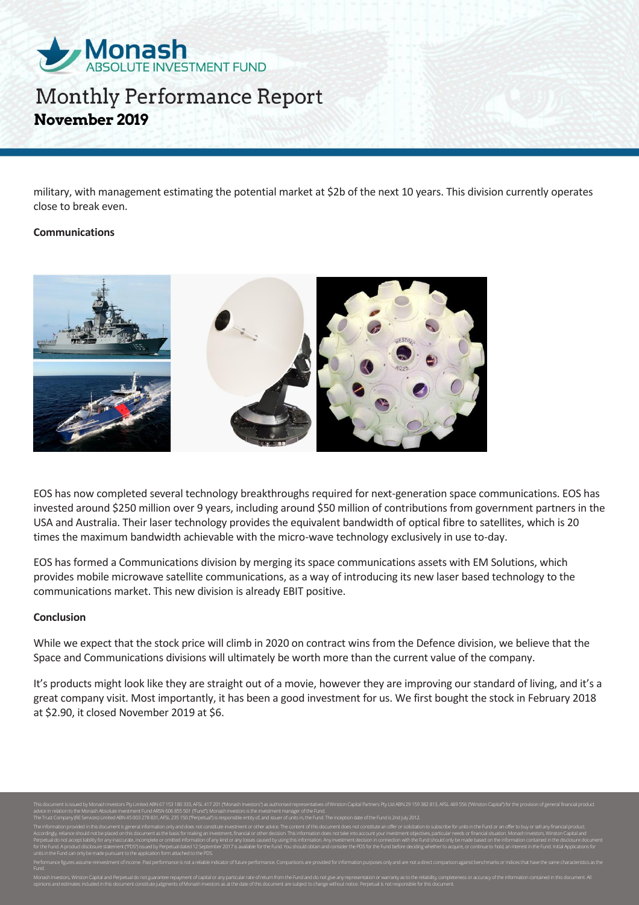

military, with management estimating the potential market at \$2b of the next 10 years. This division currently operates close to break even.

#### **Communications**



EOS has now completed several technology breakthroughs required for next-generation space communications. EOS has invested around \$250 million over 9 years, including around \$50 million of contributions from government partners in the USA and Australia. Their laser technology provides the equivalent bandwidth of optical fibre to satellites, which is 20 times the maximum bandwidth achievable with the micro-wave technology exclusively in use to-day.

EOS has formed a Communications division by merging its space communications assets with EM Solutions, which provides mobile microwave satellite communications, as a way of introducing its new laser based technology to the communications market. This new division is already EBIT positive.

#### **Conclusion**

While we expect that the stock price will climb in 2020 on contract wins from the Defence division, we believe that the Space and Communications divisions will ultimately be worth more than the current value of the company.

It's products might look like they are straight out of a movie, however they are improving our standard of living, and it's a great company visit. Most importantly, it has been a good investment for us. We first bought the stock in February 2018 at \$2.90, it closed November 2019 at \$6.

advice in relation to the Monash Absolute Investment Fund ARSN 606 855 501 ("Fund"). Monash Investors is the investment manager of the Fund. The Trust Company (RE Services) Limited ABN 45 003 278 831, AFSL 235 150 ("Perpetual") is responsible entity of, and issuer of units in, the Fund. The inception date of the Fund is 2nd July 2012. The information provided in this document is general information only and does not constitute investment or other advice. The content of this document does not constitute an offer or solicitation to subscribe for units in Accordingly, reliance should not be placed on this document as the basis for making an investment, financial or other decision. This information does not take into account your investment objectives, particular needs or fi Perpetual do not accept liability for any inaccurate, incomplete or omitted information of any kind or any losses caused by using this information. Any investment decision in connection with the Fund should only be made ba for the Fund. A product disclosure statement ("PDS") issued by Perpetual dated 12 September 2017 is available for the Fund. You should obtain and consider the PDS for the Fund before deciding whether to acquire, or continu units in the Fund can only be made pursuant to the application form attached to the PDS. Performance figures assume reinvestment of income. Past performance is not a reliable indicator of future performance. Comparisons are provided for information purposes only and are not a direct comparison against benchmar

Monash Investors, Winston Capital and Perpetual do not guarantee repayment of capital or any particular rate of return from the Fund and do not give any representation or warranty as to the reliability, completeness or acc opinions and estimates included in this document constitute judgments of Monash Investors as at the date of this document are subject to change without notice. Perpetual is not responsible for this document.